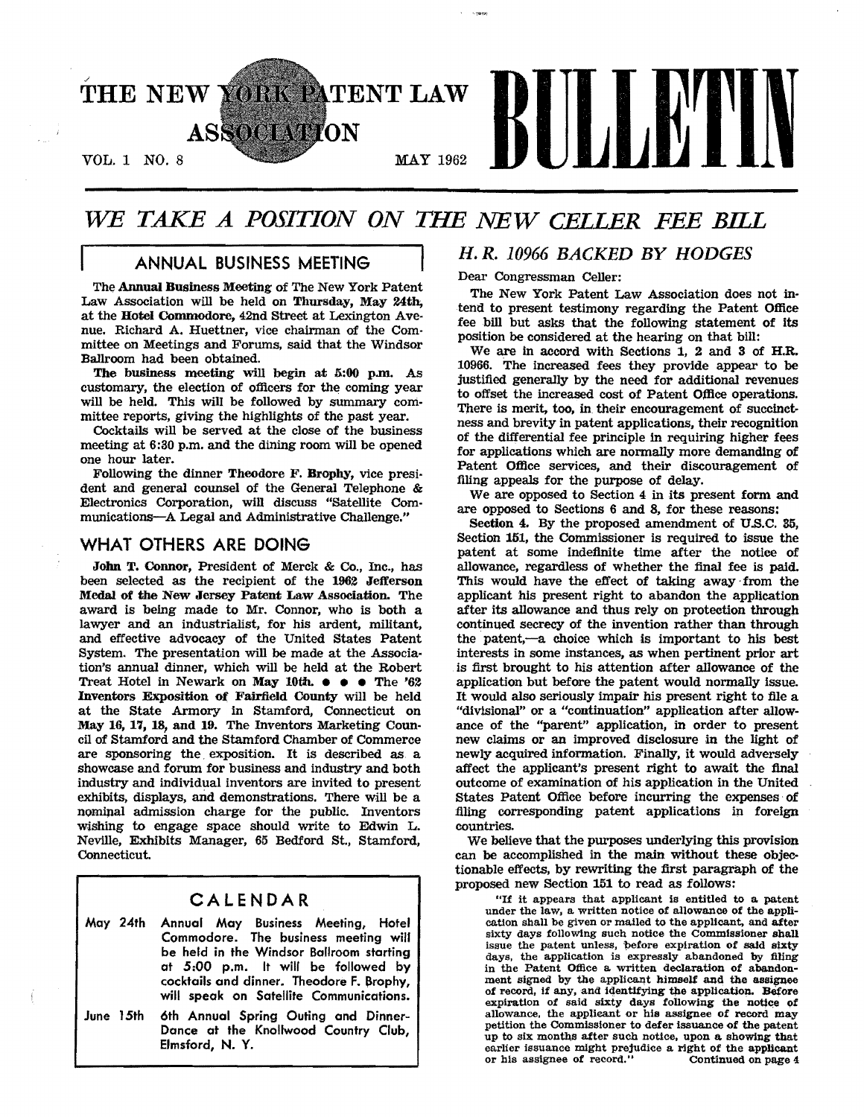

## *WE TAKE A POSITION ON THE NEW CELLER FEE BILL*

## ANNUAL BUSINESS MEETING

The Annual Business Meeting of The New York Patent Law Association will be held on Thursday, May 24th, at the Hotel Commodore, 42nd street at Lexington Avenue. Richard A. Huettner, vice chairman of the Committee on Meetings and Forums, said that the Windsor Ballroom had been obtained.

The business meeting will begin at 5:00 p.m. As customary, the election of officers for the coming year will be held. This will be followed by summary committee reports, giving the highlights of the past year.

Cocktails will be served at the close of the business meeting at 6:80 p.m. and the dining room will be opened one hour later.

Following the dinner Theodore F. Brophy, vice president and general counsel of the General Telephone & Electronics Corporation, will discuss "Satellite Communications-A Legal and Administrative Challenge."

#### WHAT OTHERS ARE DOING

I

John T. Connor, President of Merck & Co., Inc., has been selected as the recipient of the 1962 Jefferson Medal of the New Jersey Patent Law Association. The award is being made to Mr. Connor, who is both a lawyer and an industrialist, for his ardent, militant, and effective advocacy of the United States Patent System. The presentation will be made at the Association's annual dinner, which will be held at the Robert Treat Hotel in Newark on May 10th. ••• The '62 Inventors Exposition of Fairfield County will be held at the State Armory in Stamford, Connecticut on May 16, 17, 18, and 19. The Inventors Marketing Council of Stamford and the Stamford Chamber of Commerce are sponsoring the. exposition. It is described as. a showcase and forum for business and industry and both industry and individual inventors are invited to present exhibits, displays, and demonstrations. There will be a nominal admission charge for the public. Inventors wlshing to engage space should write to Edwin L. Neville, Exhibits Manager, 65 Bedford St., Stamford, Connecticut.

## CALENDAR

- May 24th Annual May Business Meeting, Hotel Commodore. The business meeting will be held in the Windsor Ballroom starting at 5:00 p.m. It will be followed by cocktails and dinner. Theodore F. Brophy, will speak on Satellite Communications.
- June 15th 6th Annual Spring Outing and Dinner-Dance at the Knollwood Country Club, Elmsford, N. Y.

## *H. R. 10966 BACKED BY HODGES*

Dear Congressman Celler:

The New York Patent Law Association does not intend to present testimony regarding the Patent Office fee bill but asks that the following statement of its position be considered at the hearing on that bill:

We are in accord with Sections 1, 2 and 3 of H.R. 10966. The increased fees they provide appear to be justified generally by the need for additional revenues to offset the increased cost of Patent Office operations. There is merit, too, in their encouragement of succinctness and brevity in patent applications, their recognition of the differential fee principle in requiring higher fees for applications which are normally more demanding of Patent Office services, and their discouragement of filing appeals for the purpose of delay.

We are opposed to Section 4 in Its present form and are opposed to Sections 6 and 8, for these reasons:

Section 4. By the proposed amendment of U.S.C. 35, Section 151, the Commissioner is required to issue the patent at some indefinite time after the notiee of allowance, regardless of whether the final fee is paid. This would have the effect of taking away·from the applicant his present right to abandon the application after its allowance and thus rely on protection through continued secrecy of the invention rather than through the patent,-a choice which is important to his best interests in some instances, as when pertinent prior art is first brought to his attention after allowance of the application but before the patent would normally issue. It would also seriously impair his present right to file a "divisional" or a "continuation" application after allowance of the "parent" application, in order to present new claims or an improved disclosure in the light of newly acquired information. Finally, it would adversely affect the applicant's present right to await the final outcome of examination of his application in the United states Patent Office before incurring the expenses· of filing corresponding patent applications in foreign countries.

We believe that the purposes underlying this provision can be accomplished in the main without these objectionable effects, by rewriting the first paragraph of the proposed new Section 151 to read as follows:

"If it appears that applicant is entitled to a patent under the law. a written notice of allowance of the application shall be given or mailed to the applicant, and after sixty days following such notice the Commissioner shall issue the patent unless, before expiration of said sixty days, the application is expressly abandoned by filing in the Patent Office a written declaration of abandonment signed by the applicant himself and the assignee of record, if any, and identifying the application. Before expiration of said sixty days following the notice of allowance, the applicant or his assignee of record may petition the Commissioner to defer issuance of the patent up to six: months after such notice. upon a showing that earlier issuance might prejudice a right of the applicant or his assignee of record." Continued on page 4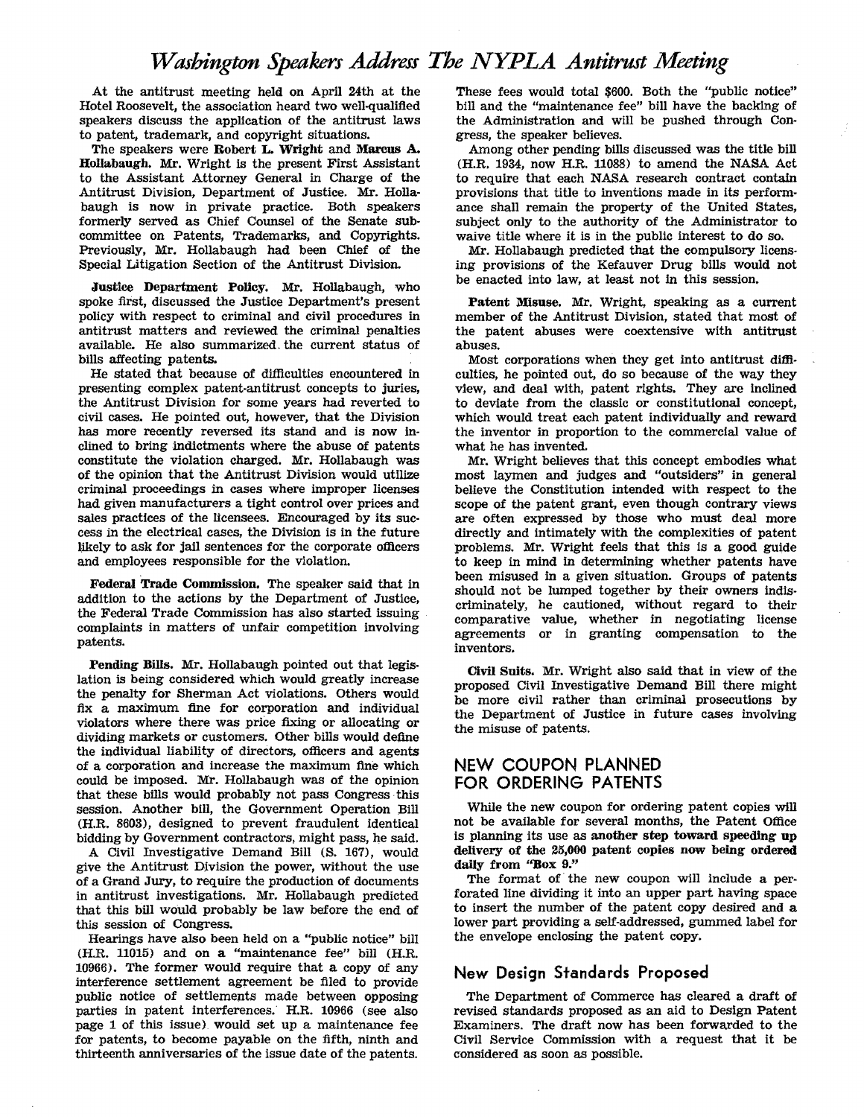At the antitrust meeting held on April 24th at the Hotel Roosevelt, the association heard two well-qualified speakers discuss the application of the antitrust laws to patent, trademark, and copyright situations.

The speakers were Robert L. Wright and Marcus A. Hollabaugh. Mr. Wright is the present First Assistant to the Assistant Attorney General in Charge of the Antitrust Division, Department of Justice. Mr. Hollabaugh is now in private practice. Both speakers formerly served as Chief Counsel of the Senate subcommittee on Patents, Trademarks, and Copyrights. Previously, Mr. Hollabaugh had been Chief of the Special Litigation Section of the Antitrust Division.

Justice Department Policy. Mr. Hollabaugh, who spoke first, discussed the Justice Department's present policy with respect to criminal and civil procedures in antitrust matters and reviewed the criminal penalties available. He also summarized. the current status of bills affecting patents.

He stated that because of difficulties encountered in presenting complex patent·antitrust concepts to juries, the Antitrust Division for some years had reverted to civil cases. He pointed out, however, that the Division has more recently reversed its stand and is now incllned to bring indictments where the abuse of patents constitute the violation charged. Mr. Hollabaugh was of the opinion that the Antitrust Division would utilize criminal proceedings in cases where improper licenses had given manufacturers a tight control over prices and sales practices of the licensees. Encouraged by its success in the electrical cases, the Division is in the future likely to ask for jail sentences for the corporate officers and employees responsible for the violation.

Federal Trade Commission. The speaker said that in addition to the actions by the Department of Justice, the Federal Trade Commission has also started issuing complaints in matters of unfair competition involving patents.

Pending Bills. Mr. Hollabaugh pointed out that legislation is being considered which would greatly increase the penalty for Sherman Act violations. Others would fix a maximum fine for corporation and individual violators where there was price fixing or allocating or dividing markets or customers. Other bills would define the individual liability of directors, officers and agents of a corporation and increase the maximum fine which could be imposed. Mr. Hollabaugh was of the opinion that these bills would probably not pass Congress· this session. Another bill, the Government Operation Bill (H.R. 8603), designed to prevent fraudulent identical bidding by Government contractors, might pass, he said.

A Civil Investigative Demand Bill (S. 167), would give the Antitrust Division the power, without the use of a Grand Jury, to require the production of documents in antitrust investigations. Mr. Hollabaugh predicted that this bill would probably be law before the end of this session of Congress.

Hearings have also been held on a "public notice" bill (H.R. 11015) and on a "maintenance fee" bill (H.R. 10966). The former would require that a copy of any interference settlement agreement be tIled to provide public notice of settlements made between opposing parties in patent interferences. H.R. 10966 (see also page 1 of this issue) would set up a maintenance fee for patents, to become payable on the fifth, ninth and thirteenth anniversaries of the issue date of the patents.

These fees would total \$600. Both the "public notice" bill and the "maintenance fee" bill have the backing of the Administration and will be pushed through Congress, the speaker believes.

Among other pending bills discussed was the title bill (H.R. 1934, now H.R. 11088) to amend the NASA Act to require that each NASA research contract contain provisions that title to inventions made in its performance shall remain the property of the United States, subject only to the authority of the Administrator to waive title where it is in the public interest to do so.

Mr. Hollabaugh predicted that the compulsory licensing provisions of the Kefauver Drug bills would not be enacted into law, at least not In this session.

Patent Misuse. Mr. Wright, speaking as a current member of the Antitrust Division, stated that most of the patent abuses were coextensive with antitrust abuses.

Most corporations when they get into antitrust diffi· culties, he pointed out, do so because of the way they view, and deal with, patent rights. They are inclined to deviate from the classic or constitutional concept, which would treat each patent individually and reward the inventor in proportion to the commercial value of what he has invented.

Mr. Wright believes that this concept embodies what most laymen and judges and "outsiders" in general believe the Constitution intended with respect to the scope of the patent grant, even though contrary views are often expressed by those who must deal more directly and intimately with the complexities of patent problems. Mr. Wright feels that this is a good guide to keep in mind in determining whether patents have been misused in a given situation. Groups of patents should not be lumped together by their owners indiscriminately, he cautioned, without regard to their comparative value, whether in negotiating license agreements or in granting compensation to the inventors.

Civil Snits. Mr. Wright also said that in view of the proposed Civil Investigative Demand Bill there might be more civil rather than criminal prosecutions by the Department of Justice in future cases involving the misuse of patents.

#### NEW COUPON PLANNED FOR ORDERING PATENTS

While the new coupon for ordering patent copies will not be available for several months, the Patent Office is planning its use as another step toward speeding up delivery of the 25,000 patent copies now being ordered daily from "Box 9."

The format of' the new coupon will include a perforated line dividing it into an upper part having space to insert the number of the patent copy desired and a lower part providing a self-addressed, gummed label for the envelope enclosing the patent copy.

## New Design Standards Proposed

The Department of Commerce has cleared a draft of revised standards proposed as an aid to Design Patent Examiners. The draft now has been forwarded to the Civil Service Commission with a request that it be considered as soon as possible.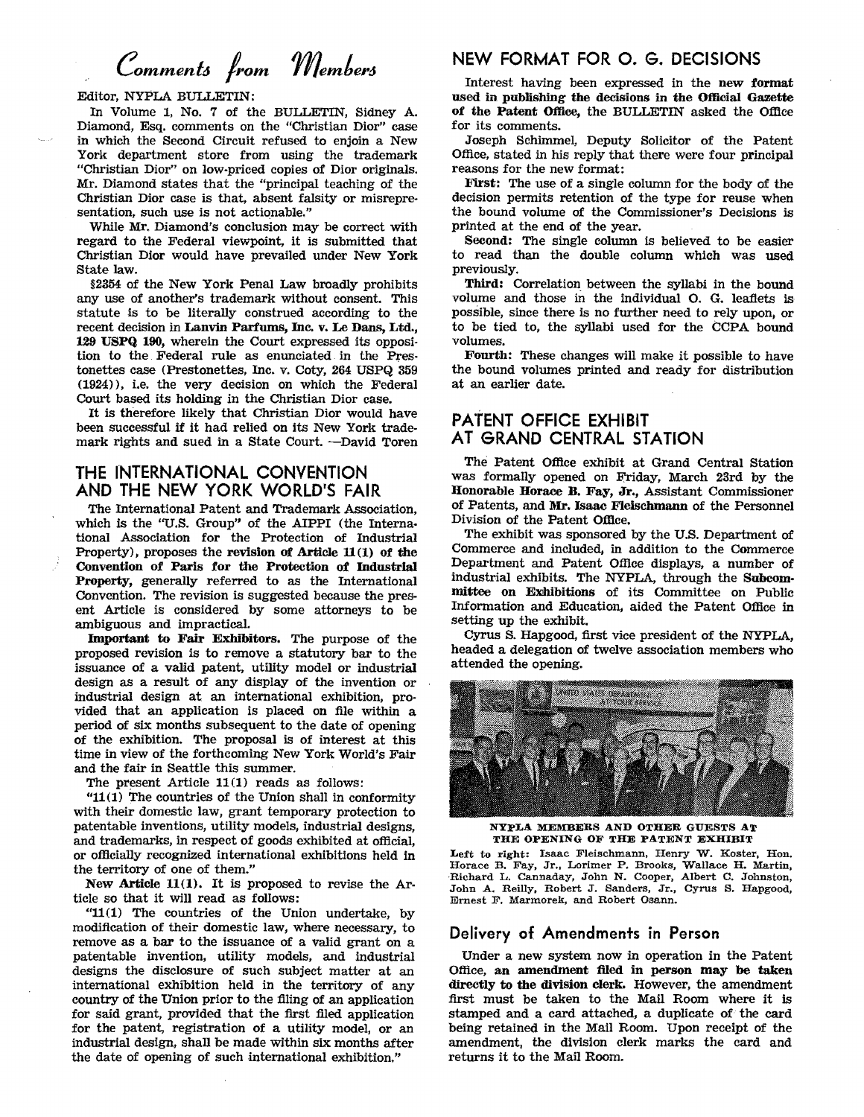# *Commento /rom membero*

#### Editor, NYPLA BULLETIN:

In Volume 1, No.7 of the BULLETIN, Sidney A. Diamond, Esq. comments on the "Christian Dior" case in which the Second Circuit refused to enjoin a New York department store from using the trademark "Christian Dior" on low'priced copies of Dior originals. Mr. Diamond states that the "principal teaching of the Christian Dior case is that, absent falsity or misrepresentation, such use is not actionable."

While Mr. Diamond's conclusion may be correct with regard to the Federal viewpoint, it is submitted that Christian Dior would have prevailed under New York State law.

§2354 of the New York Penal Law broadly prohibits any use of another's trademark without consent. This statute is to be literally construed according to the recent decision in Lauvin Parfums, Inc. v. Le Dans, Ltd., 129 USPQ 190, wherein the Court expressed its opposition to the. Federal rule as enunciated. in the Prestonettes case (Prestonettes, Inc. v. Coty, 264 USPQ 859 (1924)), i.e. the very decision on which the Federal Court based its holding in the Christian Dior case.

It is therefore likely that Christian Dior would have been successful if it had relied on Its New York trademark rights and sued in a State Court. ~David Toren

## THE INTERNATIONAL CONVENTION AND THE NEW YORK WORLD'S FAIR

The International Patent and Trademark Association, which is the "U.S. Group" of the AIPPI (the International Association for the Protection of Industrial Property), proposes the revision of Article  $11(1)$  of the Convention of Paris for the Protection of Industrial Property, generally referred to as the International Convention. The revision is suggested because the present Article is considered by some attorneys to be ambiguous and impractical.

Important to Fair Exhibitors. The purpose of the proposed revision is to remove a statutory bar to the issuance of a valid patent, utility model or industrial design as a result of any display of the invention or industrial design at an international exhibition, provided that an application is placed on file within a period of six months subsequent to the date of opening of the exhibition. The proposal is of interest at this time in view of the forthcoming New York World's Fair and the fair in Seattle this summer.

The present Article 11(1) reads as follows:

"11(1) The countries of the Union shall in conformity with their domestic law, grant temporary protection to patentable inventions, utility models, industrial designs, and trademarks, in respect of goods exhibited at official, or officially recognized international exhibitions held in the territory of one of them."

New Article  $11(1)$ . It is proposed to revise the Article so that it will read as follows:

"11(1) The countries of the Union undertake, by modification of their domestic law, where necessary, to remove as a bar to the issuance of a valid grant on a patentable invention, utility models, and industrial designs the disclosure of such subject matter at an international exhibition held in the territory of any country of the Union prior to the filing of an application for said grant, provided that the first filed application for the patent, registration of a utility model, or an industrial design, shall be made within six months after the date of opening of such international exhibition."

#### NEW FORMAT FOR O. G. DECISIONS

Interest having been expressed in the new format used in publishing the decisions in the Official Gazette of the Patent Office, the BULLETIN asked the Office for its comments.

Joseph Schimmel, Deputy Solicitor of the Patent Office, stated in his reply that there were four principal reasons for the new format:

First: The use of a single column for the body of the decision permits retention of the type for reuse when the bound volume of the Commissioner's Decisions is printed at the end of the year.

Second: The single column is believed to be easier to read than the double column which was used previously.

Third: Correlation between the syllabi in the bound volume and those in the individual O. G. leaflets is pOSSible, since there is no further need to rely upon, or to be tied to, the syllabi used for the CCPA bound volumes.

Fourth: These changes will make it possible to have the bound volumes printed and ready for distribution at an earlier date.

## PATENT OFFICE EXHIBIT AT GRAND CENTRAL STATION

The Patent Office exhibit at Grand Central Station was formally opened on Friday, March 23rd by the Honorable Horace B. Fay, Jr., Assistant Commissioner of Patents, and Mr. Isaac Fleischmann of the Personnel Division of the Patent Office.

The exhibit was sponsored by the U.S. Department of Commerce and included, in addition to the Commerce Department and Patent Office displays, a number of industrial exhibits. The NYPLA, through the Subcom· mittee on Exhibitions of its Committee on Public Information and Education, aided the Patent Office in setting up the exhibit.

Cyrus s. Hapgood, first vice president of the NYPLA, headed a delegation of twelve association members who attended the opening.



NYPLA MEMBERS AND OTHER GUESTS AT THE OPENING OF THE PATENT EXHIBIT

Left to right: Isaac Fleischmann, Henry W. Koster, Hon. Horace B. Fay, Jr., Lorimer P. Brooks, Wallace H. Martin, Bichard L. Cannaday, John N. Cooper, Albert C. Johnston, John A. Reilly, Robert J. Sanders, Jr., Cyrus S. Hapgood, Ernest F. Marmorek, and Robert Osann.

## Delivery of Amendments in Person

Under a new system now in operation in the Patent Office, an amendment filed in person may be taken directly to the division clerk. However, the amendment first must be taken to the Mail Room where it is stamped and a card attached, a duplicate of the card being retained in the Mail Room. Upon receipt of the amendment, the division clerk marks the card and returns it to the Mail Room.